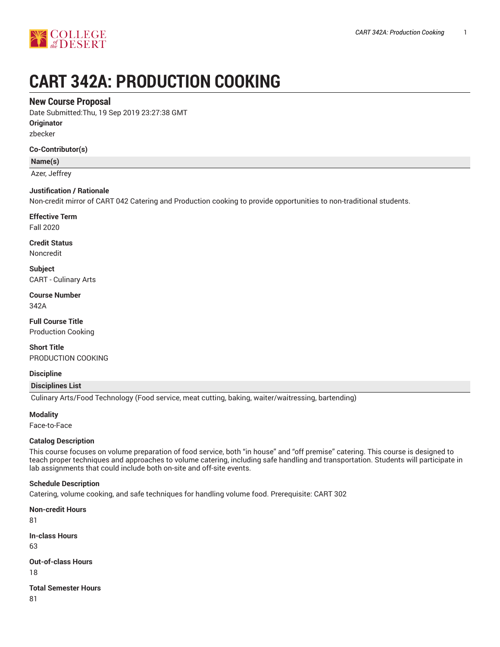

# **CART 342A: PRODUCTION COOKING**

## **New Course Proposal**

Date Submitted:Thu, 19 Sep 2019 23:27:38 GMT

**Originator**

zbecker

## **Co-Contributor(s)**

**Name(s)**

Azer, Jeffrey

## **Justification / Rationale**

Non-credit mirror of CART 042 Catering and Production cooking to provide opportunities to non-traditional students.

**Effective Term**

Fall 2020

**Credit Status** Noncredit

**Subject** CART - Culinary Arts

**Course Number** 342A

**Full Course Title** Production Cooking

**Short Title** PRODUCTION COOKING

**Discipline**

**Disciplines List**

Culinary Arts/Food Technology (Food service, meat cutting, baking, waiter/waitressing, bartending)

#### **Modality**

Face-to-Face

## **Catalog Description**

This course focuses on volume preparation of food service, both "in house" and "off premise" catering. This course is designed to teach proper techniques and approaches to volume catering, including safe handling and transportation. Students will participate in lab assignments that could include both on-site and off-site events.

## **Schedule Description**

Catering, volume cooking, and safe techniques for handling volume food. Prerequisite: CART 302

**Non-credit Hours**

81

**In-class Hours**

63

**Out-of-class Hours**

18

**Total Semester Hours**

81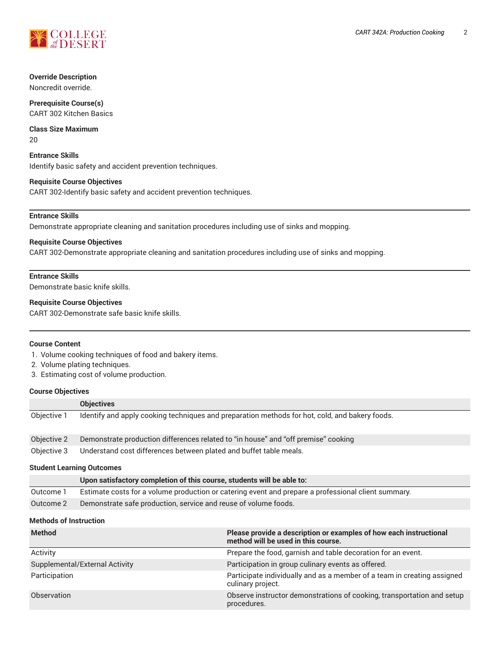

## **Override Description**

Noncredit override.

**Prerequisite Course(s)** CART 302 Kitchen Basics

**Class Size Maximum** 20

**Entrance Skills** Identify basic safety and accident prevention techniques.

## **Requisite Course Objectives**

CART 302-Identify basic safety and accident prevention techniques.

## **Entrance Skills**

Demonstrate appropriate cleaning and sanitation procedures including use of sinks and mopping.

## **Requisite Course Objectives**

CART 302-Demonstrate appropriate cleaning and sanitation procedures including use of sinks and mopping.

## **Entrance Skills**

Demonstrate basic knife skills.

#### **Requisite Course Objectives**

CART 302-Demonstrate safe basic knife skills.

#### **Course Content**

- 1. Volume cooking techniques of food and bakery items.
- 2. Volume plating techniques.
- 3. Estimating cost of volume production.

## **Course Objectives**

|                                  | <b>Objectives</b>                                                                              |  |
|----------------------------------|------------------------------------------------------------------------------------------------|--|
| Objective 1                      | Identify and apply cooking techniques and preparation methods for hot, cold, and bakery foods. |  |
| Objective 2                      | Demonstrate production differences related to "in house" and "off premise" cooking             |  |
| Objective 3                      | Understand cost differences between plated and buffet table meals.                             |  |
| <b>Student Learning Outcomes</b> |                                                                                                |  |

|           | Upon satisfactory completion of this course, students will be able to:                              |
|-----------|-----------------------------------------------------------------------------------------------------|
| Outcome 1 | Estimate costs for a volume production or catering event and prepare a professional client summary. |
| Outcome 2 | Demonstrate safe production, service and reuse of volume foods.                                     |

## **Methods of Instruction**

| <b>Method</b>                  | Please provide a description or examples of how each instructional<br>method will be used in this course. |
|--------------------------------|-----------------------------------------------------------------------------------------------------------|
| Activity                       | Prepare the food, garnish and table decoration for an event.                                              |
| Supplemental/External Activity | Participation in group culinary events as offered.                                                        |
| Participation                  | Participate individually and as a member of a team in creating assigned<br>culinary project.              |
| Observation                    | Observe instructor demonstrations of cooking, transportation and setup<br>procedures.                     |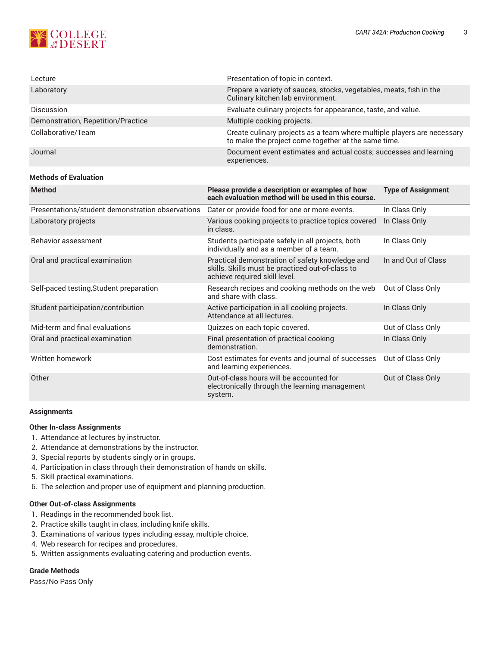

| Lecture                            | Presentation of topic in context.                                                                                              |
|------------------------------------|--------------------------------------------------------------------------------------------------------------------------------|
| Laboratory                         | Prepare a variety of sauces, stocks, vegetables, meats, fish in the<br>Culinary kitchen lab environment.                       |
| <b>Discussion</b>                  | Evaluate culinary projects for appearance, taste, and value.                                                                   |
| Demonstration, Repetition/Practice | Multiple cooking projects.                                                                                                     |
| Collaborative/Team                 | Create culinary projects as a team where multiple players are necessary<br>to make the project come together at the same time. |
| Journal                            | Document event estimates and actual costs; successes and learning<br>experiences.                                              |

## **Methods of Evaluation**

| Please provide a description or examples of how<br>each evaluation method will be used in this course.                               | <b>Type of Assignment</b> |
|--------------------------------------------------------------------------------------------------------------------------------------|---------------------------|
| Cater or provide food for one or more events.                                                                                        | In Class Only             |
| Various cooking projects to practice topics covered<br>in class.                                                                     | In Class Only             |
| Students participate safely in all projects, both<br>individually and as a member of a team.                                         | In Class Only             |
| Practical demonstration of safety knowledge and<br>skills. Skills must be practiced out-of-class to<br>achieve required skill level. | In and Out of Class       |
| Research recipes and cooking methods on the web<br>and share with class.                                                             | Out of Class Only         |
| Active participation in all cooking projects.<br>Attendance at all lectures.                                                         | In Class Only             |
| Quizzes on each topic covered.                                                                                                       | Out of Class Only         |
| Final presentation of practical cooking<br>demonstration.                                                                            | In Class Only             |
| Cost estimates for events and journal of successes<br>and learning experiences.                                                      | Out of Class Only         |
| Out-of-class hours will be accounted for<br>electronically through the learning management<br>system.                                | Out of Class Only         |
|                                                                                                                                      |                           |

#### **Assignments**

## **Other In-class Assignments**

- 1. Attendance at lectures by instructor.
- 2. Attendance at demonstrations by the instructor.
- 3. Special reports by students singly or in groups.
- 4. Participation in class through their demonstration of hands on skills.
- 5. Skill practical examinations.
- 6. The selection and proper use of equipment and planning production.

#### **Other Out-of-class Assignments**

- 1. Readings in the recommended book list.
- 2. Practice skills taught in class, including knife skills.
- 3. Examinations of various types including essay, multiple choice.
- 4. Web research for recipes and procedures.
- 5. Written assignments evaluating catering and production events.

## **Grade Methods**

Pass/No Pass Only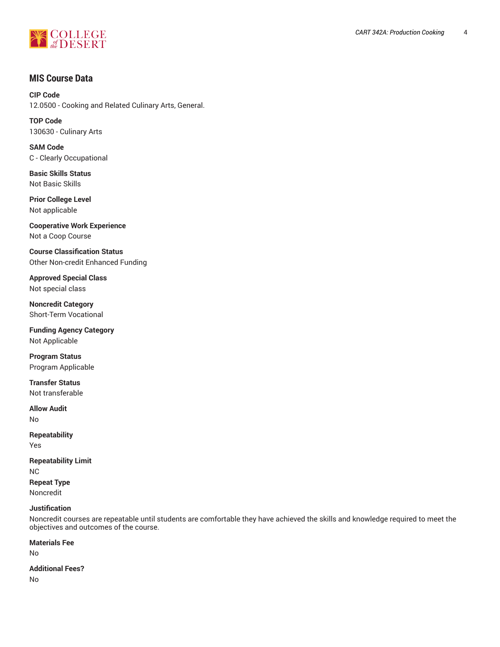

# **MIS Course Data**

**CIP Code** 12.0500 - Cooking and Related Culinary Arts, General.

**TOP Code** 130630 - Culinary Arts

**SAM Code** C - Clearly Occupational

**Basic Skills Status** Not Basic Skills

**Prior College Level** Not applicable

**Cooperative Work Experience** Not a Coop Course

**Course Classification Status** Other Non-credit Enhanced Funding

**Approved Special Class** Not special class

**Noncredit Category** Short-Term Vocational

**Funding Agency Category** Not Applicable

**Program Status** Program Applicable

**Transfer Status** Not transferable

**Allow Audit** No

**Repeatability** Yes

**Repeatability Limit** NC **Repeat Type** Noncredit

## **Justification**

Noncredit courses are repeatable until students are comfortable they have achieved the skills and knowledge required to meet the objectives and outcomes of the course.

**Materials Fee**

No

**Additional Fees?** No